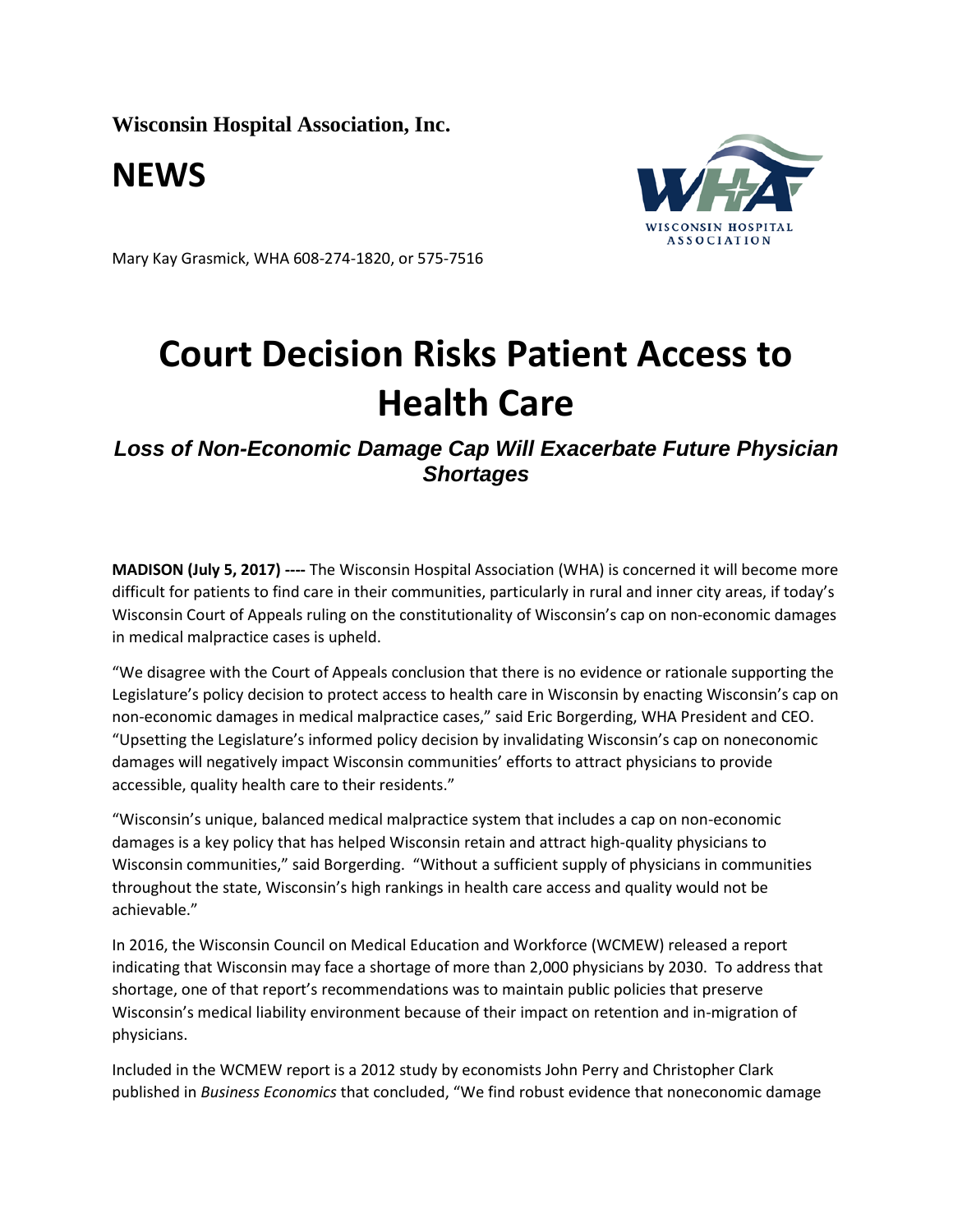**Wisconsin Hospital Association, Inc.**

**NEWS**



Mary Kay Grasmick, WHA 608-274-1820, or 575-7516

## **Court Decision Risks Patient Access to Health Care**

*Loss of Non-Economic Damage Cap Will Exacerbate Future Physician Shortages*

**MADISON (July 5, 2017) ----** The Wisconsin Hospital Association (WHA) is concerned it will become more difficult for patients to find care in their communities, particularly in rural and inner city areas, if today's Wisconsin Court of Appeals ruling on the constitutionality of Wisconsin's cap on non-economic damages in medical malpractice cases is upheld.

"We disagree with the Court of Appeals conclusion that there is no evidence or rationale supporting the Legislature's policy decision to protect access to health care in Wisconsin by enacting Wisconsin's cap on non-economic damages in medical malpractice cases," said Eric Borgerding, WHA President and CEO. "Upsetting the Legislature's informed policy decision by invalidating Wisconsin's cap on noneconomic damages will negatively impact Wisconsin communities' efforts to attract physicians to provide accessible, quality health care to their residents."

"Wisconsin's unique, balanced medical malpractice system that includes a cap on non-economic damages is a key policy that has helped Wisconsin retain and attract high-quality physicians to Wisconsin communities," said Borgerding. "Without a sufficient supply of physicians in communities throughout the state, Wisconsin's high rankings in health care access and quality would not be achievable."

In 2016, the Wisconsin Council on Medical Education and Workforce (WCMEW) released a report indicating that Wisconsin may face a shortage of more than 2,000 physicians by 2030. To address that shortage, one of that report's recommendations was to maintain public policies that preserve Wisconsin's medical liability environment because of their impact on retention and in-migration of physicians.

Included in the WCMEW report is a 2012 study by economists John Perry and Christopher Clark published in *Business Economics* that concluded, "We find robust evidence that noneconomic damage